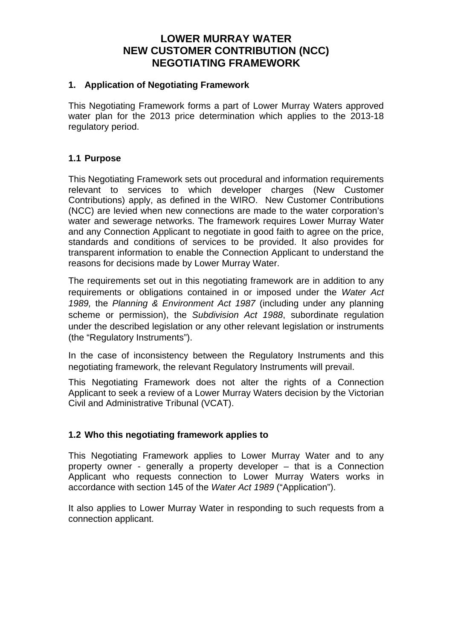# **LOWER MURRAY WATER NEW CUSTOMER CONTRIBUTION (NCC) NEGOTIATING FRAMEWORK**

#### **1. Application of Negotiating Framework**

This Negotiating Framework forms a part of Lower Murray Waters approved water plan for the 2013 price determination which applies to the 2013-18 regulatory period.

#### **1.1 Purpose**

This Negotiating Framework sets out procedural and information requirements relevant to services to which developer charges (New Customer Contributions) apply, as defined in the WIRO. New Customer Contributions (NCC) are levied when new connections are made to the water corporation's water and sewerage networks. The framework requires Lower Murray Water and any Connection Applicant to negotiate in good faith to agree on the price, standards and conditions of services to be provided. It also provides for transparent information to enable the Connection Applicant to understand the reasons for decisions made by Lower Murray Water.

The requirements set out in this negotiating framework are in addition to any requirements or obligations contained in or imposed under the *Water Act 1989,* the *Planning & Environment Act 1987* (including under any planning scheme or permission), the *Subdivision Act 1988*, subordinate regulation under the described legislation or any other relevant legislation or instruments (the "Regulatory Instruments").

In the case of inconsistency between the Regulatory Instruments and this negotiating framework, the relevant Regulatory Instruments will prevail.

This Negotiating Framework does not alter the rights of a Connection Applicant to seek a review of a Lower Murray Waters decision by the Victorian Civil and Administrative Tribunal (VCAT).

### **1.2 Who this negotiating framework applies to**

This Negotiating Framework applies to Lower Murray Water and to any property owner - generally a property developer – that is a Connection Applicant who requests connection to Lower Murray Waters works in accordance with section 145 of the *Water Act 1989* ("Application").

It also applies to Lower Murray Water in responding to such requests from a connection applicant.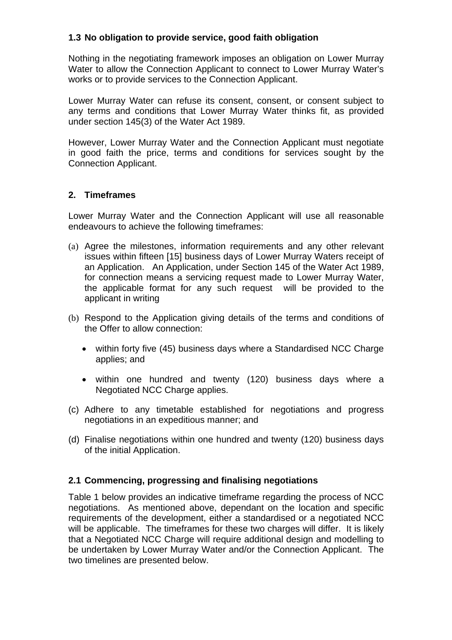## **1.3 No obligation to provide service, good faith obligation**

Nothing in the negotiating framework imposes an obligation on Lower Murray Water to allow the Connection Applicant to connect to Lower Murray Water's works or to provide services to the Connection Applicant.

Lower Murray Water can refuse its consent, consent, or consent subject to any terms and conditions that Lower Murray Water thinks fit, as provided under section 145(3) of the Water Act 1989.

However, Lower Murray Water and the Connection Applicant must negotiate in good faith the price, terms and conditions for services sought by the Connection Applicant.

### **2. Timeframes**

Lower Murray Water and the Connection Applicant will use all reasonable endeavours to achieve the following timeframes:

- (a) Agree the milestones, information requirements and any other relevant issues within fifteen [15] business days of Lower Murray Waters receipt of an Application. An Application, under Section 145 of the Water Act 1989, for connection means a servicing request made to Lower Murray Water, the applicable format for any such request will be provided to the applicant in writing
- (b) Respond to the Application giving details of the terms and conditions of the Offer to allow connection:
	- within forty five (45) business days where a Standardised NCC Charge applies; and
	- within one hundred and twenty (120) business days where a Negotiated NCC Charge applies.
- (c) Adhere to any timetable established for negotiations and progress negotiations in an expeditious manner; and
- (d) Finalise negotiations within one hundred and twenty (120) business days of the initial Application.

### **2.1 Commencing, progressing and finalising negotiations**

Table 1 below provides an indicative timeframe regarding the process of NCC negotiations. As mentioned above, dependant on the location and specific requirements of the development, either a standardised or a negotiated NCC will be applicable. The timeframes for these two charges will differ. It is likely that a Negotiated NCC Charge will require additional design and modelling to be undertaken by Lower Murray Water and/or the Connection Applicant. The two timelines are presented below.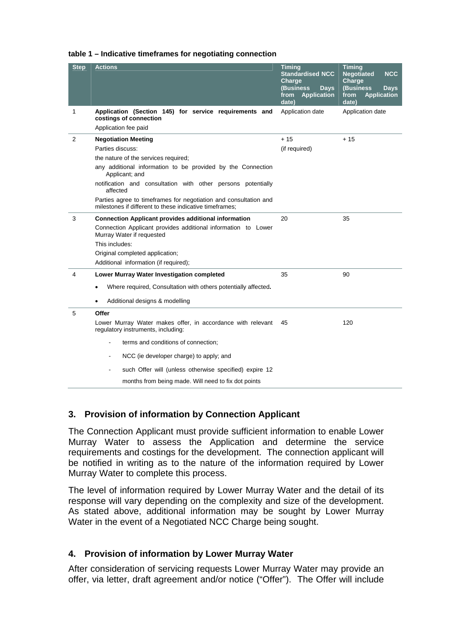| <b>Step</b> | <b>Actions</b>                                                                                                              | Timing<br><b>Standardised NCC</b><br>Charge<br>(Business<br><b>Days</b><br><b>Application</b><br>from<br>date) | <b>Timing</b><br><b>Negotiated</b><br><b>NCC</b><br>Charge<br>(Business)<br><b>Days</b><br>from<br><b>Application</b><br>date) |
|-------------|-----------------------------------------------------------------------------------------------------------------------------|----------------------------------------------------------------------------------------------------------------|--------------------------------------------------------------------------------------------------------------------------------|
| 1           | Application (Section 145) for service requirements and<br>costings of connection<br>Application fee paid                    | Application date                                                                                               | Application date                                                                                                               |
| 2           | <b>Negotiation Meeting</b>                                                                                                  | $+15$                                                                                                          | + 15                                                                                                                           |
|             | Parties discuss:                                                                                                            | (if required)                                                                                                  |                                                                                                                                |
|             | the nature of the services required;                                                                                        |                                                                                                                |                                                                                                                                |
|             | any additional information to be provided by the Connection<br>Applicant; and                                               |                                                                                                                |                                                                                                                                |
|             | notification and consultation with other persons potentially<br>affected                                                    |                                                                                                                |                                                                                                                                |
|             | Parties agree to timeframes for negotiation and consultation and<br>milestones if different to these indicative timeframes: |                                                                                                                |                                                                                                                                |
| 3           | <b>Connection Applicant provides additional information</b>                                                                 | 20                                                                                                             | 35                                                                                                                             |
|             | Connection Applicant provides additional information to Lower<br>Murray Water if requested                                  |                                                                                                                |                                                                                                                                |
|             | This includes:                                                                                                              |                                                                                                                |                                                                                                                                |
|             | Original completed application;                                                                                             |                                                                                                                |                                                                                                                                |
|             | Additional information (if required);                                                                                       |                                                                                                                |                                                                                                                                |
| 4           | Lower Murray Water Investigation completed                                                                                  | 35                                                                                                             | 90                                                                                                                             |
|             | Where required, Consultation with others potentially affected.<br>٠                                                         |                                                                                                                |                                                                                                                                |
|             | Additional designs & modelling<br>$\bullet$                                                                                 |                                                                                                                |                                                                                                                                |
| 5           | Offer                                                                                                                       |                                                                                                                |                                                                                                                                |
|             | Lower Murray Water makes offer, in accordance with relevant<br>regulatory instruments, including:                           | 45                                                                                                             | 120                                                                                                                            |
|             | terms and conditions of connection;                                                                                         |                                                                                                                |                                                                                                                                |
|             | NCC (ie developer charge) to apply; and                                                                                     |                                                                                                                |                                                                                                                                |
|             | such Offer will (unless otherwise specified) expire 12                                                                      |                                                                                                                |                                                                                                                                |
|             | months from being made. Will need to fix dot points                                                                         |                                                                                                                |                                                                                                                                |

#### **table 1 – Indicative timeframes for negotiating connection**

### **3. Provision of information by Connection Applicant**

The Connection Applicant must provide sufficient information to enable Lower Murray Water to assess the Application and determine the service requirements and costings for the development. The connection applicant will be notified in writing as to the nature of the information required by Lower Murray Water to complete this process.

The level of information required by Lower Murray Water and the detail of its response will vary depending on the complexity and size of the development. As stated above, additional information may be sought by Lower Murray Water in the event of a Negotiated NCC Charge being sought.

### **4. Provision of information by Lower Murray Water**

After consideration of servicing requests Lower Murray Water may provide an offer, via letter, draft agreement and/or notice ("Offer"). The Offer will include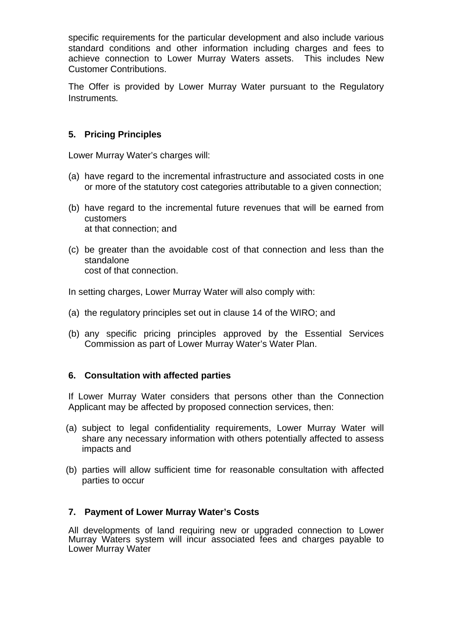specific requirements for the particular development and also include various standard conditions and other information including charges and fees to achieve connection to Lower Murray Waters assets. This includes New Customer Contributions.

The Offer is provided by Lower Murray Water pursuant to the Regulatory Instruments*.* 

## **5. Pricing Principles**

Lower Murray Water's charges will:

- (a) have regard to the incremental infrastructure and associated costs in one or more of the statutory cost categories attributable to a given connection;
- (b) have regard to the incremental future revenues that will be earned from customers at that connection; and
- (c) be greater than the avoidable cost of that connection and less than the standalone cost of that connection.

In setting charges, Lower Murray Water will also comply with:

- (a) the regulatory principles set out in clause 14 of the WIRO; and
- (b) any specific pricing principles approved by the Essential Services Commission as part of Lower Murray Water's Water Plan.

### **6. Consultation with affected parties**

If Lower Murray Water considers that persons other than the Connection Applicant may be affected by proposed connection services, then:

- (a) subject to legal confidentiality requirements, Lower Murray Water will share any necessary information with others potentially affected to assess impacts and
- (b) parties will allow sufficient time for reasonable consultation with affected parties to occur

#### **7. Payment of Lower Murray Water's Costs**

All developments of land requiring new or upgraded connection to Lower Murray Waters system will incur associated fees and charges payable to Lower Murray Water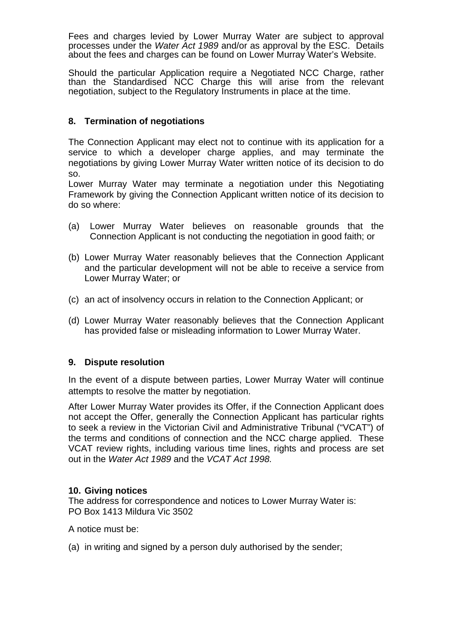Fees and charges levied by Lower Murray Water are subject to approval processes under the *Water Act 1989* and/or as approval by the ESC. Details about the fees and charges can be found on Lower Murray Water's Website.

Should the particular Application require a Negotiated NCC Charge, rather than the Standardised NCC Charge this will arise from the relevant negotiation, subject to the Regulatory Instruments in place at the time.

### **8. Termination of negotiations**

The Connection Applicant may elect not to continue with its application for a service to which a developer charge applies, and may terminate the negotiations by giving Lower Murray Water written notice of its decision to do so.

Lower Murray Water may terminate a negotiation under this Negotiating Framework by giving the Connection Applicant written notice of its decision to do so where:

- (a) Lower Murray Water believes on reasonable grounds that the Connection Applicant is not conducting the negotiation in good faith; or
- (b) Lower Murray Water reasonably believes that the Connection Applicant and the particular development will not be able to receive a service from Lower Murray Water; or
- (c) an act of insolvency occurs in relation to the Connection Applicant; or
- (d) Lower Murray Water reasonably believes that the Connection Applicant has provided false or misleading information to Lower Murray Water.

### **9. Dispute resolution**

In the event of a dispute between parties, Lower Murray Water will continue attempts to resolve the matter by negotiation.

After Lower Murray Water provides its Offer, if the Connection Applicant does not accept the Offer, generally the Connection Applicant has particular rights to seek a review in the Victorian Civil and Administrative Tribunal ("VCAT") of the terms and conditions of connection and the NCC charge applied. These VCAT review rights, including various time lines, rights and process are set out in the *Water Act 1989* and the *VCAT Act 1998.* 

### **10. Giving notices**

The address for correspondence and notices to Lower Murray Water is: PO Box 1413 Mildura Vic 3502

A notice must be:

(a) in writing and signed by a person duly authorised by the sender;